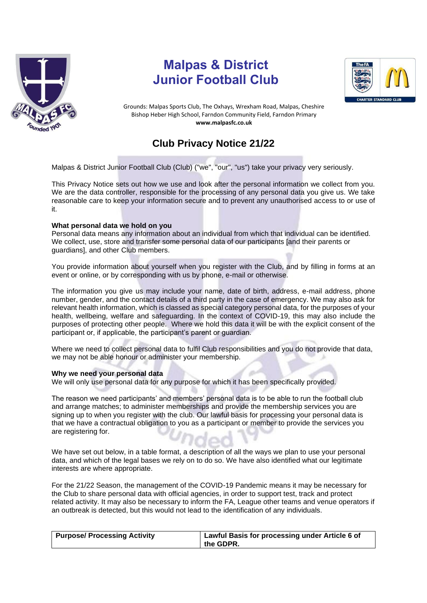

# **Malpas & District Junior Football Club**



Grounds: Malpas Sports Club, The Oxhays, Wrexham Road, Malpas, Cheshire Bishop Heber High School, Farndon Community Field, Farndon Primary **www.malpasfc.co.uk** 

# **Club Privacy Notice 21/22**

Malpas & District Junior Football Club (Club) ("we", "our", "us") take your privacy very seriously.

This Privacy Notice sets out how we use and look after the personal information we collect from you. We are the data controller, responsible for the processing of any personal data you give us. We take reasonable care to keep your information secure and to prevent any unauthorised access to or use of it.

## **What personal data we hold on you**

Personal data means any information about an individual from which that individual can be identified. We collect, use, store and transfer some personal data of our participants [and their parents or guardians], and other Club members.

You provide information about yourself when you register with the Club, and by filling in forms at an event or online, or by corresponding with us by phone, e-mail or otherwise.

The information you give us may include your name, date of birth, address, e-mail address, phone number, gender, and the contact details of a third party in the case of emergency. We may also ask for relevant health information, which is classed as special category personal data, for the purposes of your health, wellbeing, welfare and safeguarding. In the context of COVID-19, this may also include the purposes of protecting other people. Where we hold this data it will be with the explicit consent of the participant or, if applicable, the participant's parent or guardian.

Where we need to collect personal data to fulfil Club responsibilities and you do not provide that data, we may not be able honour or administer your membership.

## **Why we need your personal data**

We will only use personal data for any purpose for which it has been specifically provided.

The reason we need participants' and members' personal data is to be able to run the football club and arrange matches; to administer memberships and provide the membership services you are signing up to when you register with the club. Our lawful basis for processing your personal data is that we have a contractual obligation to you as a participant or member to provide the services you are registering for.

We have set out below, in a table format, a description of all the ways we plan to use your personal data, and which of the legal bases we rely on to do so. We have also identified what our legitimate interests are where appropriate.

For the 21/22 Season, the management of the COVID-19 Pandemic means it may be necessary for the Club to share personal data with official agencies, in order to support test, track and protect related activity. It may also be necessary to inform the FA, League other teams and venue operators if an outbreak is detected, but this would not lead to the identification of any individuals.

| <b>Purpose/ Processing Activity</b> | Lawful Basis for processing under Article 6 of |
|-------------------------------------|------------------------------------------------|
|                                     | the GDPR.                                      |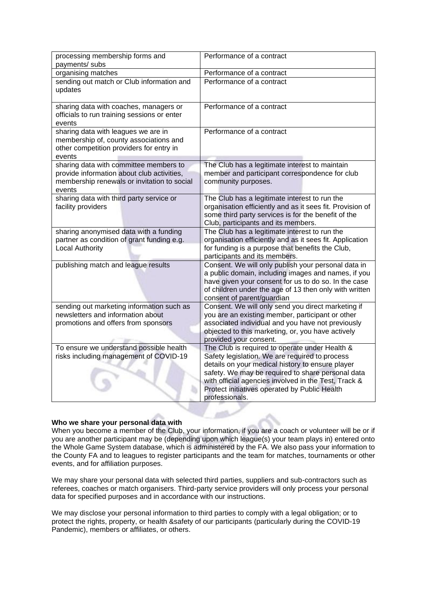| processing membership forms and<br>payments/ subs                                                                                             | Performance of a contract                                                                                                                                                                                                                                                                                                            |  |
|-----------------------------------------------------------------------------------------------------------------------------------------------|--------------------------------------------------------------------------------------------------------------------------------------------------------------------------------------------------------------------------------------------------------------------------------------------------------------------------------------|--|
| organising matches                                                                                                                            | Performance of a contract                                                                                                                                                                                                                                                                                                            |  |
| sending out match or Club information and<br>updates                                                                                          | Performance of a contract                                                                                                                                                                                                                                                                                                            |  |
| sharing data with coaches, managers or<br>officials to run training sessions or enter<br>events                                               | Performance of a contract                                                                                                                                                                                                                                                                                                            |  |
| sharing data with leagues we are in<br>membership of, county associations and<br>other competition providers for entry in<br>events           | Performance of a contract                                                                                                                                                                                                                                                                                                            |  |
| sharing data with committee members to<br>provide information about club activities,<br>membership renewals or invitation to social<br>events | The Club has a legitimate interest to maintain<br>member and participant correspondence for club<br>community purposes.                                                                                                                                                                                                              |  |
| sharing data with third party service or<br>facility providers                                                                                | The Club has a legitimate interest to run the<br>organisation efficiently and as it sees fit. Provision of<br>some third party services is for the benefit of the<br>Club, participants and its members.                                                                                                                             |  |
| sharing anonymised data with a funding<br>partner as condition of grant funding e.g.<br><b>Local Authority</b>                                | The Club has a legitimate interest to run the<br>organisation efficiently and as it sees fit. Application<br>for funding is a purpose that benefits the Club,<br>participants and its members.                                                                                                                                       |  |
| publishing match and league results                                                                                                           | Consent. We will only publish your personal data in<br>a public domain, including images and names, if you<br>have given your consent for us to do so. In the case<br>of children under the age of 13 then only with written<br>consent of parent/guardian                                                                           |  |
| sending out marketing information such as<br>newsletters and information about<br>promotions and offers from sponsors                         | Consent. We will only send you direct marketing if<br>you are an existing member, participant or other<br>associated individual and you have not previously<br>objected to this marketing, or, you have actively<br>provided your consent.                                                                                           |  |
| To ensure we understand possible health<br>risks including management of COVID-19                                                             | The Club is required to operate under Health &<br>Safety legislation. We are required to process<br>details on your medical history to ensure player<br>safety. We may be required to share personal data<br>with official agencies involved in the Test, Track &<br>Protect initiatives operated by Public Health<br>professionals. |  |

## **Who we share your personal data with**

When you become a member of the Club, your information, if you are a coach or volunteer will be or if you are another participant may be (depending upon which league(s) your team plays in) entered onto the Whole Game System database, which is administered by the FA. We also pass your information to the County FA and to leagues to register participants and the team for matches, tournaments or other events, and for affiliation purposes.

We may share your personal data with selected third parties, suppliers and sub-contractors such as referees, coaches or match organisers. Third-party service providers will only process your personal data for specified purposes and in accordance with our instructions.

We may disclose your personal information to third parties to comply with a legal obligation; or to protect the rights, property, or health &safety of our participants (particularly during the COVID-19 Pandemic), members or affiliates, or others.